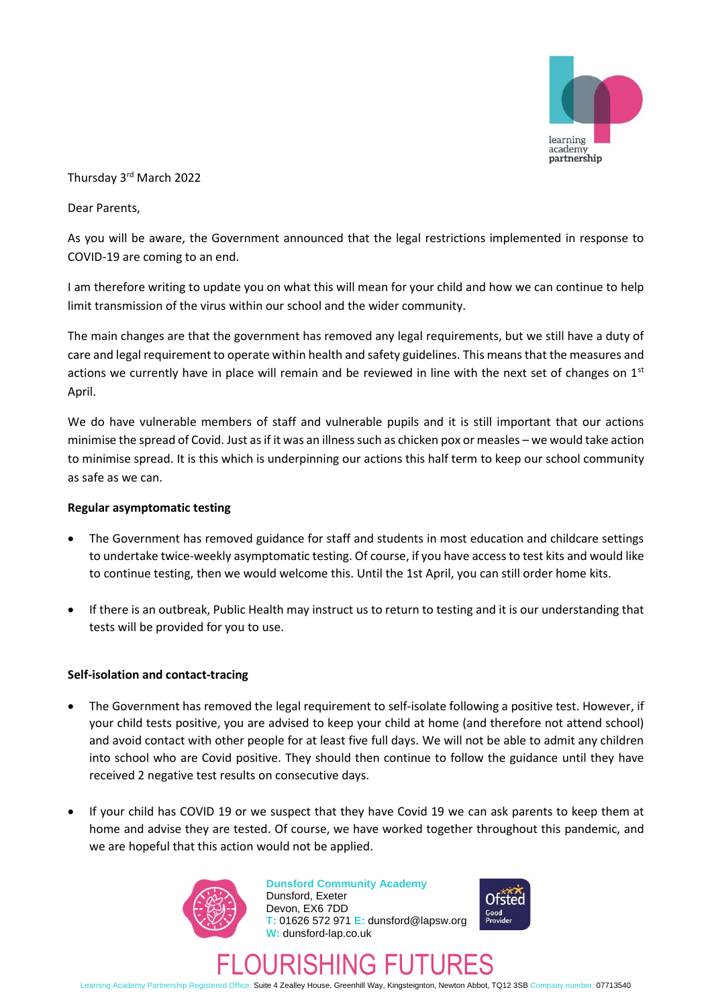

Thursday 3rd March 2022

Dear Parents,

As you will be aware, the Government announced that the legal restrictions implemented in response to COVID-19 are coming to an end.

I am therefore writing to update you on what this will mean for your child and how we can continue to help limit transmission of the virus within our school and the wider community.

The main changes are that the government has removed any legal requirements, but we still have a duty of care and legal requirement to operate within health and safety guidelines. This means that the measures and actions we currently have in place will remain and be reviewed in line with the next set of changes on  $1<sup>st</sup>$ April.

We do have vulnerable members of staff and vulnerable pupils and it is still important that our actions minimise the spread of Covid. Just as if it was an illness such as chicken pox or measles – we would take action to minimise spread. It is this which is underpinning our actions this half term to keep our school community as safe as we can.

## **Regular asymptomatic testing**

- The Government has removed guidance for staff and students in most education and childcare settings to undertake twice-weekly asymptomatic testing. Of course, if you have access to test kits and would like to continue testing, then we would welcome this. Until the 1st April, you can still order home kits.
- If there is an outbreak, Public Health may instruct us to return to testing and it is our understanding that tests will be provided for you to use.

## **Self-isolation and contact-tracing**

- The Government has removed the legal requirement to self-isolate following a positive test. However, if your child tests positive, you are advised to keep your child at home (and therefore not attend school) and avoid contact with other people for at least five full days. We will not be able to admit any children into school who are Covid positive. They should then continue to follow the guidance until they have received 2 negative test results on consecutive days.
- If your child has COVID 19 or we suspect that they have Covid 19 we can ask parents to keep them at home and advise they are tested. Of course, we have worked together throughout this pandemic, and we are hopeful that this action would not be applied.



**Dunsford Community Academy** Dunsford, Exeter Devon, EX6 7DD **T:** 01626 572 971 **E:** dunsford@lapsw.org **W:** dunsford-lap.co.uk



FLOURISHING FUTURES Learning Academy Partnership Registered Office: Suite 4 Zealley House, Greenhill Way, Kingsteignton, Newton Abbot, TQ12 3SB Company number: 07713540